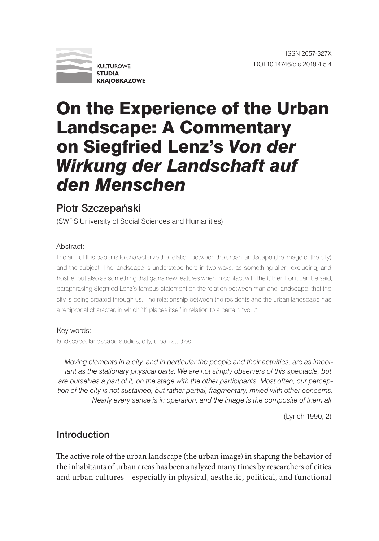

# On the Experience of the Urban Landscape: A Commentary on Siegfried Lenz's *Von der Wirkung der Landschaft auf den Menschen*

## Piotr Szczepański

(SWPS University of Social Sciences and Humanities)

### Abstract:

The aim of this paper is to characterize the relation between the urban landscape (the image of the city) and the subject. The landscape is understood here in two ways: as something alien, excluding, and hostile, but also as something that gains new features when in contact with the Other. For it can be said, paraphrasing Siegfried Lenz's famous statement on the relation between man and landscape, that the city is being created through us. The relationship between the residents and the urban landscape has a reciprocal character, in which "I" places itself in relation to a certain "you."

#### Key words:

landscape, landscape studies, city, urban studies

*Moving elements in a city, and in particular the people and their activities, are as impor*tant as the stationary physical parts. We are not simply observers of this spectacle, but *are ourselves a part of it, on the stage with the other participants. Most often, our perception of the city is not sustained, but rather partial, fragmentary, mixed with other concerns. Nearly every sense is in operation, and the image is the composite of them all*

(Lynch 1990, 2)

## Introduction

The active role of the urban landscape (the urban image) in shaping the behavior of the inhabitants of urban areas has been analyzed many times by researchers of cities and urban cultures—especially in physical, aesthetic, political, and functional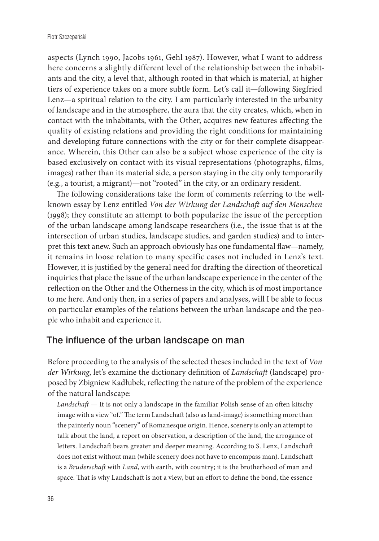aspects (Lynch 1990, Jacobs 1961, Gehl 1987). However, what I want to address here concerns a slightly different level of the relationship between the inhabitants and the city, a level that, although rooted in that which is material, at higher tiers of experience takes on a more subtle form. Let's call it—following Siegfried Lenz—a spiritual relation to the city. I am particularly interested in the urbanity of landscape and in the atmosphere, the aura that the city creates, which, when in contact with the inhabitants, with the Other, acquires new features affecting the quality of existing relations and providing the right conditions for maintaining and developing future connections with the city or for their complete disappearance. Wherein, this Other can also be a subject whose experience of the city is based exclusively on contact with its visual representations (photographs, films, images) rather than its material side, a person staying in the city only temporarily (e.g., a tourist, a migrant)—not "rooted" in the city, or an ordinary resident.

The following considerations take the form of comments referring to the wellknown essay by Lenz entitled *Von der Wirkung der Landschaft auf den Menschen*  (1998); they constitute an attempt to both popularize the issue of the perception of the urban landscape among landscape researchers (i.e., the issue that is at the intersection of urban studies, landscape studies, and garden studies) and to interpret this text anew. Such an approach obviously has one fundamental flaw—namely, it remains in loose relation to many specific cases not included in Lenz's text. However, it is justified by the general need for drafting the direction of theoretical inquiries that place the issue of the urban landscape experience in the center of the reflection on the Other and the Otherness in the city, which is of most importance to me here. And only then, in a series of papers and analyses, will I be able to focus on particular examples of the relations between the urban landscape and the people who inhabit and experience it.

## The influence of the urban landscape on man

Before proceeding to the analysis of the selected theses included in the text of *Von der Wirkung*, let's examine the dictionary definition of *Landschaft* (landscape) proposed by Zbigniew Kadłubek, reflecting the nature of the problem of the experience of the natural landscape:

*Landschaft* — It is not only a landscape in the familiar Polish sense of an often kitschy image with a view "of." The term Landschaft (also as land-image) is something more than the painterly noun "scenery" of Romanesque origin. Hence, scenery is only an attempt to talk about the land, a report on observation, a description of the land, the arrogance of letters. Landschaft bears greater and deeper meaning. According to S. Lenz, Landschaft does not exist without man (while scenery does not have to encompass man). Landschaft is a *Bruderschaft* with *Land*, with earth, with country; it is the brotherhood of man and space. That is why Landschaft is not a view, but an effort to define the bond, the essence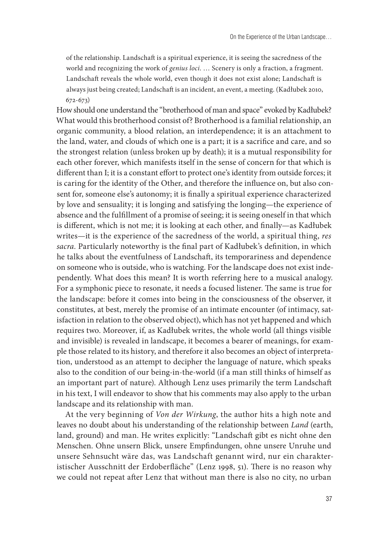of the relationship. Landschaft is a spiritual experience, it is seeing the sacredness of the world and recognizing the work of *genius loci*. … Scenery is only a fraction, a fragment. Landschaft reveals the whole world, even though it does not exist alone; Landschaft is always just being created; Landschaft is an incident, an event, a meeting. (Kadłubek 2010, 672-673)

How should one understand the "brotherhood of man and space" evoked by Kadłubek? What would this brotherhood consist of? Brotherhood is a familial relationship, an organic community, a blood relation, an interdependence; it is an attachment to the land, water, and clouds of which one is a part; it is a sacrifice and care, and so the strongest relation (unless broken up by death); it is a mutual responsibility for each other forever, which manifests itself in the sense of concern for that which is different than I; it is a constant effort to protect one's identity from outside forces; it is caring for the identity of the Other, and therefore the influence on, but also consent for, someone else's autonomy; it is finally a spiritual experience characterized by love and sensuality; it is longing and satisfying the longing—the experience of absence and the fulfillment of a promise of seeing; it is seeing oneself in that which is different, which is not me; it is looking at each other, and finally—as Kadłubek writes—it is the experience of the sacredness of the world, a spiritual thing, *res sacra.* Particularly noteworthy is the final part of Kadłubek's definition, in which he talks about the eventfulness of Landschaft, its temporariness and dependence on someone who is outside, who is watching. For the landscape does not exist independently. What does this mean? It is worth referring here to a musical analogy. For a symphonic piece to resonate, it needs a focused listener. The same is true for the landscape: before it comes into being in the consciousness of the observer, it constitutes, at best, merely the promise of an intimate encounter (of intimacy, satisfaction in relation to the observed object), which has not yet happened and which requires two. Moreover, if, as Kadłubek writes, the whole world (all things visible and invisible) is revealed in landscape, it becomes a bearer of meanings, for example those related to its history, and therefore it also becomes an object of interpretation, understood as an attempt to decipher the language of nature, which speaks also to the condition of our being-in-the-world (if a man still thinks of himself as an important part of nature). Although Lenz uses primarily the term Landschaft in his text, I will endeavor to show that his comments may also apply to the urban landscape and its relationship with man.

At the very beginning of *Von der Wirkung*, the author hits a high note and leaves no doubt about his understanding of the relationship between *Land* (earth, land, ground) and man. He writes explicitly: "Landschaft gibt es nicht ohne den Menschen. Ohne unsern Blick, unsere Empfindungen, ohne unsere Unruhe und unsere Sehnsucht wäre das, was Landschaft genannt wird, nur ein charakteristischer Ausschnitt der Erdoberfläche" (Lenz 1998, 51). There is no reason why we could not repeat after Lenz that without man there is also no city, no urban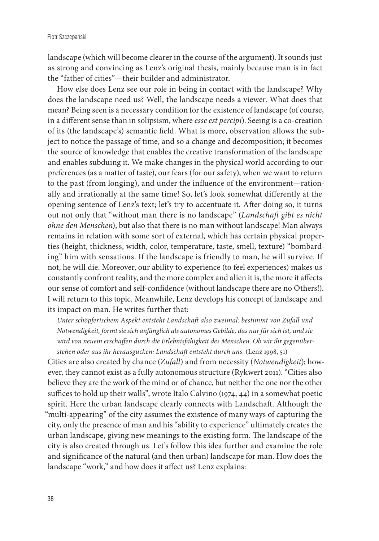landscape (which will become clearer in the course of the argument). It sounds just as strong and convincing as Lenz's original thesis, mainly because man is in fact the "father of cities"—their builder and administrator.

How else does Lenz see our role in being in contact with the landscape? Why does the landscape need us? Well, the landscape needs a viewer. What does that mean? Being seen is a necessary condition for the existence of landscape (of course, in a different sense than in solipsism, where *esse est percipi*). Seeing is a co-creation of its (the landscape's) semantic field. What is more, observation allows the subject to notice the passage of time, and so a change and decomposition; it becomes the source of knowledge that enables the creative transformation of the landscape and enables subduing it. We make changes in the physical world according to our preferences (as a matter of taste), our fears (for our safety), when we want to return to the past (from longing), and under the influence of the environment—rationally and irrationally at the same time! So, let's look somewhat differently at the opening sentence of Lenz's text; let's try to accentuate it. After doing so, it turns out not only that "without man there is no landscape" (*Landschaft gibt es nicht ohne den Menschen*), but also that there is no man without landscape! Man always remains in relation with some sort of external, which has certain physical properties (height, thickness, width, color, temperature, taste, smell, texture) "bombarding" him with sensations. If the landscape is friendly to man, he will survive. If not, he will die. Moreover, our ability to experience (to feel experiences) makes us constantly confront reality, and the more complex and alien it is, the more it affects our sense of comfort and self-confidence (without landscape there are no Others!). I will return to this topic. Meanwhile, Lenz develops his concept of landscape and its impact on man. He writes further that:

*Unter schöpferischem Aspekt entsteht Landschaft also zweimal: bestimmt von Zufall und Notwendigkeit, formt sie sich anfänglich als autonomes Gebilde, das nur für sich ist, und sie wird von neuem erschaffen durch die Erlebnisfähigkeit des Menschen. Ob wir ihr gegenüberstehen oder aus ihr herausgucken: Landschaft entsteht durch uns.* (Lenz 1998, 51)

Cities are also created by chance (*Zufall*) and from necessity (*Notwendigkeit*); however, they cannot exist as a fully autonomous structure (Rykwert 2011). "Cities also believe they are the work of the mind or of chance, but neither the one nor the other suffices to hold up their walls", wrote Italo Calvino (1974, 44) in a somewhat poetic spirit. Here the urban landscape clearly connects with Landschaft. Although the "multi-appearing" of the city assumes the existence of many ways of capturing the city, only the presence of man and his "ability to experience" ultimately creates the urban landscape, giving new meanings to the existing form. The landscape of the city is also created through us. Let's follow this idea further and examine the role and significance of the natural (and then urban) landscape for man. How does the landscape "work," and how does it affect us? Lenz explains: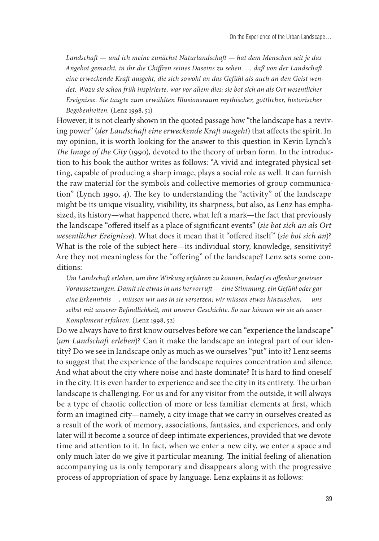*Landschaft — und ich meine zunächst Naturlandschaft — hat dem Menschen seit je das Angebot gemacht, in ihr die Chiffren seines Daseins zu sehen. … daß von der Landschaft eine erweckende Kraft ausgeht, die sich sowohl an das Gefühl als auch an den Geist wendet. Wozu sie schon früh inspirierte, war vor allem dies: sie bot sich an als Ort wesentlicher Ereignisse. Sie taugte zum erwählten Illusionsraum mythischer, göttlicher, historischer Begebenheiten.* (Lenz 1998, 51)

However, it is not clearly shown in the quoted passage how "the landscape has a reviving power" (*der Landschaft eine erweckende Kraft ausgeht*) that affects the spirit. In my opinion, it is worth looking for the answer to this question in Kevin Lynch's *The Image of the City* (1990), devoted to the theory of urban form. In the introduction to his book the author writes as follows: "A vivid and integrated physical setting, capable of producing a sharp image, plays a social role as well. It can furnish the raw material for the symbols and collective memories of group communication" (Lynch 1990, 4). The key to understanding the "activity" of the landscape might be its unique visuality, visibility, its sharpness, but also, as Lenz has emphasized, its history—what happened there, what left a mark—the fact that previously the landscape "offered itself as a place of significant events" (*sie bot sich an als Ort wesentlicher Ereignisse*). What does it mean that it "offered itself" (*sie bot sich an*)? What is the role of the subject here—its individual story, knowledge, sensitivity? Are they not meaningless for the "offering" of the landscape? Lenz sets some conditions:

*Um Landschaft erleben, um ihre Wirkung erfahren zu können, bedarf es offenbar gewisser Voraussetzungen. Damit sie etwas in uns hervorruft — eine Stimmung, ein Gefühl oder gar eine Erkenntnis —, müssen wir uns in sie versetzen; wir müssen etwas hinzusehen, — uns selbst mit unserer Befindlichkeit, mit unserer Geschichte. So nur können wir sie als unser Komplement erfahren.* (Lenz 1998, 52)

Do we always have to first know ourselves before we can "experience the landscape" (*um Landschaft erleben*)? Can it make the landscape an integral part of our identity? Do we see in landscape only as much as we ourselves "put" into it? Lenz seems to suggest that the experience of the landscape requires concentration and silence. And what about the city where noise and haste dominate? It is hard to find oneself in the city. It is even harder to experience and see the city in its entirety. The urban landscape is challenging. For us and for any visitor from the outside, it will always be a type of chaotic collection of more or less familiar elements at first, which form an imagined city—namely, a city image that we carry in ourselves created as a result of the work of memory, associations, fantasies, and experiences, and only later will it become a source of deep intimate experiences, provided that we devote time and attention to it. In fact, when we enter a new city, we enter a space and only much later do we give it particular meaning. The initial feeling of alienation accompanying us is only temporary and disappears along with the progressive process of appropriation of space by language. Lenz explains it as follows: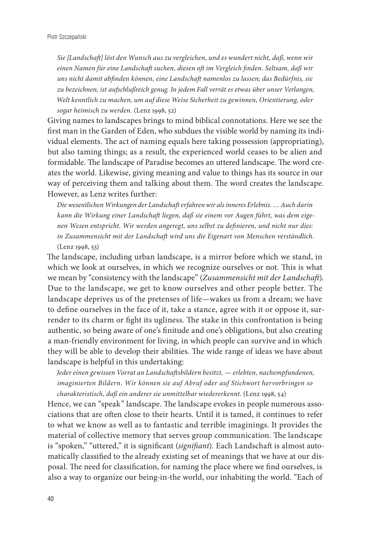*Sie [Landschaft] löst den Wunsch aus zu vergleichen, und es wundert nicht, daß, wenn wir einen Namen für eine Landschaft suchen, diesen oft im Vergleich finden. Seltsam, daß wir uns nicht damit abfinden können, eine Landschaft namenlos zu lassen; das Bedürfnis, sie zu bezeichnen, ist aufschlußreich genug. In jedem Fall verrät es etwas über unser Verlangen, Welt kenntlich zu machen, um auf diese Weise Sicherheit zu gewinnen, Orientierung, oder sogar heimisch zu werden.* (Lenz 1998, 52)

Giving names to landscapes brings to mind biblical connotations. Here we see the first man in the Garden of Eden, who subdues the visible world by naming its individual elements. The act of naming equals here taking possession (appropriating), but also taming things; as a result, the experienced world ceases to be alien and formidable. The landscape of Paradise becomes an uttered landscape. The word creates the world. Likewise, giving meaning and value to things has its source in our way of perceiving them and talking about them. The word creates the landscape. However, as Lenz writes further:

*Die wesentlichen Wirkungen der Landschaft erfahren wir als inneres Erlebnis. … Auch darin kann die Wirkung einer Landschaft liegen, daß sie einem vor Augen führt, was dem eigenen Wesen entspricht. Wir werden angeregt, uns selbst zu definieren, und nicht nur dies: in Zusammensicht mit der Landschaft wird uns die Eigenart von Menschen verständlich.*  (Lenz 1998, 53)

The landscape, including urban landscape, is a mirror before which we stand, in which we look at ourselves, in which we recognize ourselves or not. This is what we mean by "consistency with the landscape" (*Zusammensicht mit der Landschaft*). Due to the landscape, we get to know ourselves and other people better. The landscape deprives us of the pretenses of life—wakes us from a dream; we have to define ourselves in the face of it, take a stance, agree with it or oppose it, surrender to its charm or fight its ugliness. The stake in this confrontation is being authentic, so being aware of one's finitude and one's obligations, but also creating a man-friendly environment for living, in which people can survive and in which they will be able to develop their abilities. The wide range of ideas we have about landscape is helpful in this undertaking:

*Jeder einen gewissen Vorrat an Landschaftsbildern besitzt, — erlebten, nachempfundenen, imaginierten Bildern. Wir können sie auf Abruf oder auf Stichwort hervorbringen so charakteristisch, daß ein anderer sie unmittelbar wiedererkennt.* (Lenz 1998, 54)

Hence, we can "speak" landscape. The landscape evokes in people numerous associations that are often close to their hearts. Until it is tamed, it continues to refer to what we know as well as to fantastic and terrible imaginings. It provides the material of collective memory that serves group communication. The landscape is "spoken," "uttered," it is significant (*signifiant*)*.* Each Landschaft is almost automatically classified to the already existing set of meanings that we have at our disposal. The need for classification, for naming the place where we find ourselves, is also a way to organize our being-in-the world, our inhabiting the world. "Each of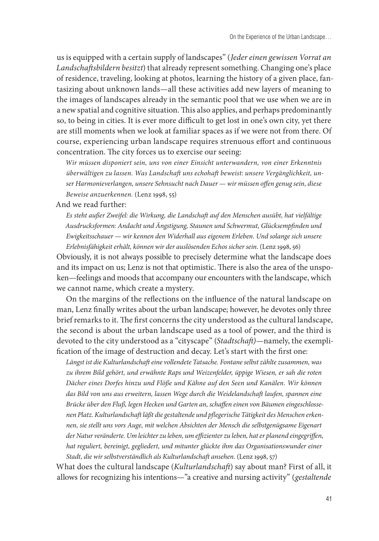us is equipped with a certain supply of landscapes" (*Jeder einen gewissen Vorrat an Landschaftsbildern besitzt*) that already represent something. Changing one's place of residence, traveling, looking at photos, learning the history of a given place, fantasizing about unknown lands—all these activities add new layers of meaning to the images of landscapes already in the semantic pool that we use when we are in a new spatial and cognitive situation. This also applies, and perhaps predominantly so, to being in cities. It is ever more difficult to get lost in one's own city, yet there are still moments when we look at familiar spaces as if we were not from there. Of course, experiencing urban landscape requires strenuous effort and continuous concentration. The city forces us to exercise our seeing:

*Wir müssen disponiert sein, uns von einer Einsicht unterwandern, von einer Erkenntnis überwältigen zu lassen. Was Landschaft uns echohaft beweist: unsere Vergänglichkeit, unser Harmonieverlangen, unsere Sehnsucht nach Dauer — wir müssen offen genug sein, diese Beweise anzuerkennen.* (Lenz 1998, 55)

And we read further:

*Es steht außer Zweifel: die Wirkung, die Landschaft auf den Menschen ausübt, hat vielfältige Ausdrucksformen: Andacht und Ängstigung, Staunen und Schwermut, Glücksempfinden und Ewigkeitsschauer — wir kennen den Widerhall aus eigenem Erleben. Und solange sich unsere Erlebnisfähigkeit erhält, können wir der auslösenden Echos sicher sein.* (Lenz 1998, 56)

Obviously, it is not always possible to precisely determine what the landscape does and its impact on us; Lenz is not that optimistic. There is also the area of the unspoken—feelings and moods that accompany our encounters with the landscape, which we cannot name, which create a mystery.

On the margins of the reflections on the influence of the natural landscape on man, Lenz finally writes about the urban landscape; however, he devotes only three brief remarks to it. The first concerns the city understood as the cultural landscape, the second is about the urban landscape used as a tool of power, and the third is devoted to the city understood as a "cityscape" (*Stadtschaft)*—namely, the exemplification of the image of destruction and decay. Let's start with the first one:

*Längst ist die Kulturlandschaft eine vollendete Tatsache. Fontane selbst zählte zusammen, was zu ihrem Bild gehört, und erwähnte Raps und Weizenfelder, üppige Wiesen, er sah die roten Dächer eines Dorfes hinzu und Flöße und Kähne auf den Seen und Kanälen. Wir können das Bild von uns aus erweitern, lassen Wege durch die Weidelandschaft laufen, spannen eine Brücke über den Fluß, legen Hecken und Garten an, schaffen einen von Bäumen eingeschlossenen Platz. Kulturlandschaft läßt die gestaltende und pflegerische Tätigkeit des Menschen erkennen, sie stellt uns vors Auge, mit welchen Absichten der Mensch die selbstgenügsame Eigenart der Natur veränderte. Um leichter zu leben, um effizienter zu leben, hat er planend eingegriffen, hat reguliert, bereinigt, gegliedert, und mitunter glückte ihm das Organisationswunder einer Stadt, die wir selbstverständlich als Kulturlandschaft ansehen.* (Lenz 1998, 57)

What does the cultural landscape (*Kulturlandschaft*) say about man? First of all, it allows for recognizing his intentions—"a creative and nursing activity" (*gestaltende*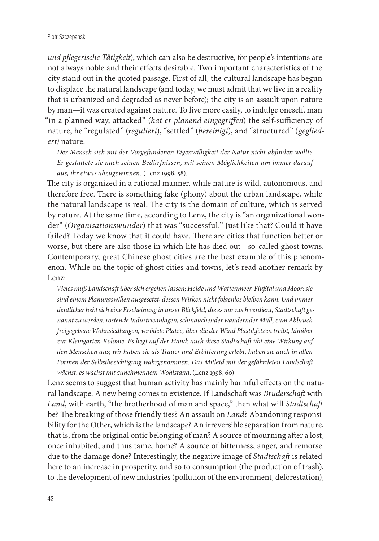*und pflegerische Tätigkeit*), which can also be destructive, for people's intentions are not always noble and their effects desirable. Two important characteristics of the city stand out in the quoted passage. First of all, the cultural landscape has begun to displace the natural landscape (and today, we must admit that we live in a reality that is urbanized and degraded as never before); the city is an assault upon nature by man—it was created against nature. To live more easily, to indulge oneself, man "in a planned way, attacked" (*hat er planend eingegriffen*) the self-sufficiency of nature, he "regulated" (*reguliert*), "settled" (*bereinigt*), and "structured" (*gegliedert)* nature.

*Der Mensch sich mit der Vorgefundenen Eigenwilligkeit der Natur nicht abfinden wollte. Er gestaltete sie nach seinen Bedürfnissen, mit seinen Möglichkeiten um immer darauf aus, ihr etwas abzugewinnen.* (Lenz 1998, 58).

The city is organized in a rational manner, while nature is wild, autonomous, and therefore free. There is something fake (phony) about the urban landscape, while the natural landscape is real. The city is the domain of culture, which is served by nature. At the same time, according to Lenz, the city is "an organizational wonder" (*Organisationswunder*) that was "successful." Just like that? Could it have failed? Today we know that it could have. There are cities that function better or worse, but there are also those in which life has died out—so-called ghost towns. Contemporary, great Chinese ghost cities are the best example of this phenomenon. While on the topic of ghost cities and towns, let's read another remark by Lenz:

*Vieles muß Landschaft über sich ergehen lassen; Heide und Wattenmeer, Flußtal und Moor: sie sind einem Planungswillen ausgesetzt, dessen Wirken nicht folgenlos bleiben kann. Und immer deutlicher hebt sich eine Erscheinung in unser Blickfeld, die es nur noch verdient, Stadtschaft genannt zu werden: rostende Industrieanlagen, schmauchender wandernder Müll, zum Abbruch freigegebene Wohnsiedlungen, verödete Plätze, über die der Wind Plastikfetzen treibt, hinüber zur Kleingarten-Kolonie. Es liegt auf der Hand: auch diese Stadtschaft übt eine Wirkung auf den Menschen aus; wir haben sie als Trauer und Erbitterung erlebt, haben sie auch in allen Formen der Selbstbezichtigung wahrgenommen. Das Mitleid mit der gefährdeten Landschaft wächst, es wächst mit zunehmendem Wohlstand*. (Lenz 1998, 60)

Lenz seems to suggest that human activity has mainly harmful effects on the natural landscape. A new being comes to existence. If Landschaft was *Bruderschaft* with *Land*, with earth, "the brotherhood of man and space," then what will *Stadtschaft* be? The breaking of those friendly ties? An assault on *Land*? Abandoning responsibility for the Other, which is the landscape? An irreversible separation from nature, that is, from the original ontic belonging of man? A source of mourning after a lost, once inhabited, and thus tame, home? A source of bitterness, anger, and remorse due to the damage done? Interestingly, the negative image of *Stadtschaft* is related here to an increase in prosperity, and so to consumption (the production of trash), to the development of new industries (pollution of the environment, deforestation),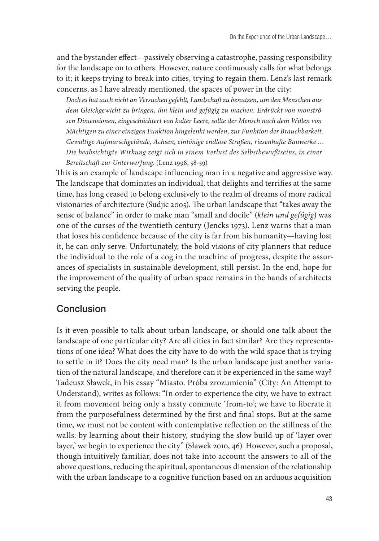and the bystander effect—passively observing a catastrophe, passing responsibility for the landscape on to others. However, nature continuously calls for what belongs to it; it keeps trying to break into cities, trying to regain them. Lenz's last remark concerns, as I have already mentioned, the spaces of power in the city:

*Doch es hat auch nicht an Versuchen gefehlt, Landschaft zu benutzen, um den Menschen aus dem Gleichgewicht zu bringen, ihn klein und gefügig zu machen. Erdrückt von monströsen Dimensionen, eingeschüchtert von kalter Leere, sollte der Mensch nach dem Willen von Mächtigen zu einer einzigen Funktion hingelenkt werden, zur Funktion der Brauchbarkeit. Gewaltige Aufmarschgelände, Achsen, eintönige endlose Straßen, riesenhafte Bauwerke … Die beabsichtigte Wirkung zeigt sich in einem Verlust des Selbstbewußtseins, in einer Bereitschaft zur Unterwerfung.* (Lenz 1998, 58-59)

This is an example of landscape influencing man in a negative and aggressive way. The landscape that dominates an individual, that delights and terrifies at the same time, has long ceased to belong exclusively to the realm of dreams of more radical visionaries of architecture (Sudjic 2005). The urban landscape that "takes away the sense of balance" in order to make man "small and docile" (*klein und gefügig*) was one of the curses of the twentieth century (Jencks 1973). Lenz warns that a man that loses his confidence because of the city is far from his humanity—having lost it, he can only serve. Unfortunately, the bold visions of city planners that reduce the individual to the role of a cog in the machine of progress, despite the assurances of specialists in sustainable development, still persist. In the end, hope for the improvement of the quality of urban space remains in the hands of architects serving the people.

## Conclusion

Is it even possible to talk about urban landscape, or should one talk about the landscape of one particular city? Are all cities in fact similar? Are they representations of one idea? What does the city have to do with the wild space that is trying to settle in it? Does the city need man? Is the urban landscape just another variation of the natural landscape, and therefore can it be experienced in the same way? Tadeusz Sławek, in his essay "Miasto. Próba zrozumienia" (City: An Attempt to Understand), writes as follows: "In order to experience the city, we have to extract it from movement being only a hasty commute 'from-to'; we have to liberate it from the purposefulness determined by the first and final stops. But at the same time, we must not be content with contemplative reflection on the stillness of the walls: by learning about their history, studying the slow build-up of 'layer over layer,' we begin to experience the city" (Sławek 2010, 46). However, such a proposal, though intuitively familiar, does not take into account the answers to all of the above questions, reducing the spiritual, spontaneous dimension of the relationship with the urban landscape to a cognitive function based on an arduous acquisition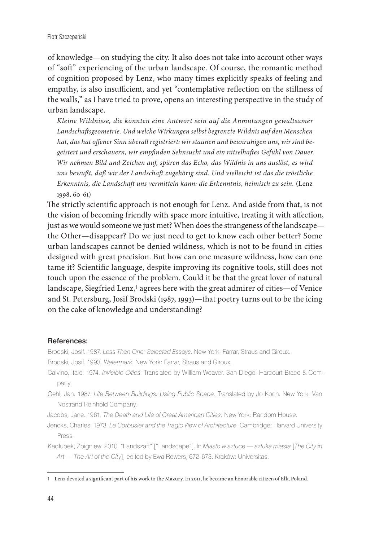of knowledge—on studying the city. It also does not take into account other ways of "soft" experiencing of the urban landscape. Of course, the romantic method of cognition proposed by Lenz, who many times explicitly speaks of feeling and empathy, is also insufficient, and yet "contemplative reflection on the stillness of the walls," as I have tried to prove, opens an interesting perspective in the study of urban landscape.

*Kleine Wildnisse, die könnten eine Antwort sein auf die Anmutungen gewaltsamer Landschaftsgeometrie. Und welche Wirkungen selbst begrenzte Wildnis auf den Menschen hat, das hat offener Sinn überall registriert: wir staunen und beunruhigen uns, wir sind begeistert und erschauern, wir empfinden Sehnsucht und ein rätselhaftes Gefühl von Dauer. Wir nehmen Bild und Zeichen auf, spüren das Echo, das Wildnis in uns auslöst, es wird uns bewußt, daß wir der Landschaft zugehörig sind. Und vielleicht ist das die tröstliche Erkenntnis, die Landschaft uns vermitteln kann: die Erkenntnis, heimisch zu sein.* (Lenz 1998, 60-61)

The strictly scientific approach is not enough for Lenz. And aside from that, is not the vision of becoming friendly with space more intuitive, treating it with affection, just as we would someone we just met? When does the strangeness of the landscape the Other—disappear? Do we just need to get to know each other better? Some urban landscapes cannot be denied wildness, which is not to be found in cities designed with great precision. But how can one measure wildness, how can one tame it? Scientific language, despite improving its cognitive tools, still does not touch upon the essence of the problem. Could it be that the great lover of natural landscape, Siegfried Lenz,<sup>1</sup> agrees here with the great admirer of cities-of Venice and St. Petersburg, Josif Brodski (1987, 1993)—that poetry turns out to be the icing on the cake of knowledge and understanding?

#### References:

Brodski, Josif. 1987. *Less Than One: Selected Essays*. New York: Farrar, Straus and Giroux.

Brodski, Josif. 1993. *Watermark*. New York: Farrar, Straus and Giroux.

- Calvino, Italo. 1974. *Invisible Cities*. Translated by William Weaver. San Diego: Harcourt Brace & Company.
- Gehl, Jan. 1987. *Life Between Buildings: Using Public Space.* Translated by Jo Koch. New York: Van Nostrand Reinhold Company.

Jacobs, Jane. 1961. *The Death and Life of Great American Cities.* New York: Random House.

Jencks, Charles. 1973. *Le Corbusier and the Tragic View of Architecture.* Cambridge: Harvard University Press.

Kadłubek, Zbigniew. 2010. "Landszaft" ["Landscape"]. In *Miasto w sztuce — sztuka miasta* [*The City in Art — The Art of the City*], edited by Ewa Rewers, 672-673. Kraków: Universitas.

<sup>1</sup> Lenz devoted a significant part of his work to the Mazury. In 2011, he became an honorable citizen of Ełk, Poland.